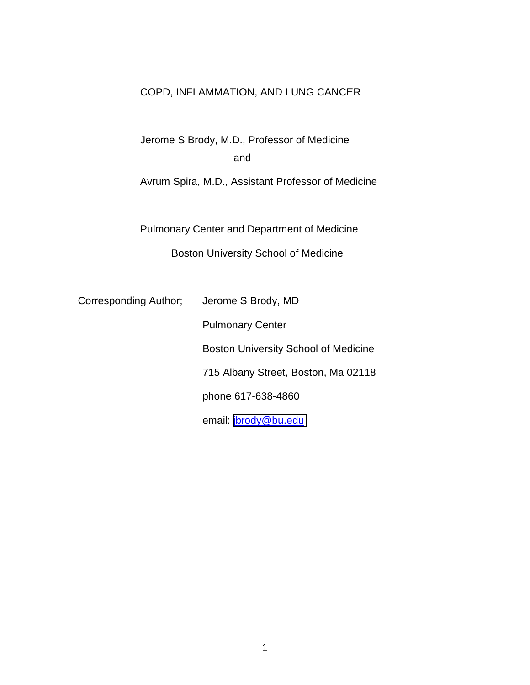# COPD, INFLAMMATION, AND LUNG CANCER

Jerome S Brody, M.D., Professor of Medicine and

Avrum Spira, M.D., Assistant Professor of Medicine

Pulmonary Center and Department of Medicine Boston University School of Medicine

Corresponding Author; Jerome S Brody, MD

 Pulmonary Center Boston University School of Medicine 715 Albany Street, Boston, Ma 02118 phone 617-638-4860 email: [jbrody@bu.edu](mailto:jbrody@bu.edu)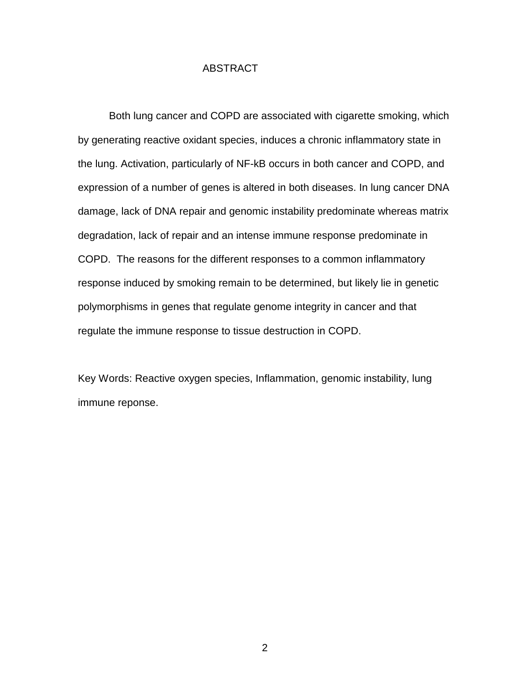## ABSTRACT

Both lung cancer and COPD are associated with cigarette smoking, which by generating reactive oxidant species, induces a chronic inflammatory state in the lung. Activation, particularly of NF-kB occurs in both cancer and COPD, and expression of a number of genes is altered in both diseases. In lung cancer DNA damage, lack of DNA repair and genomic instability predominate whereas matrix degradation, lack of repair and an intense immune response predominate in COPD. The reasons for the different responses to a common inflammatory response induced by smoking remain to be determined, but likely lie in genetic polymorphisms in genes that regulate genome integrity in cancer and that regulate the immune response to tissue destruction in COPD.

Key Words: Reactive oxygen species, Inflammation, genomic instability, lung immune reponse.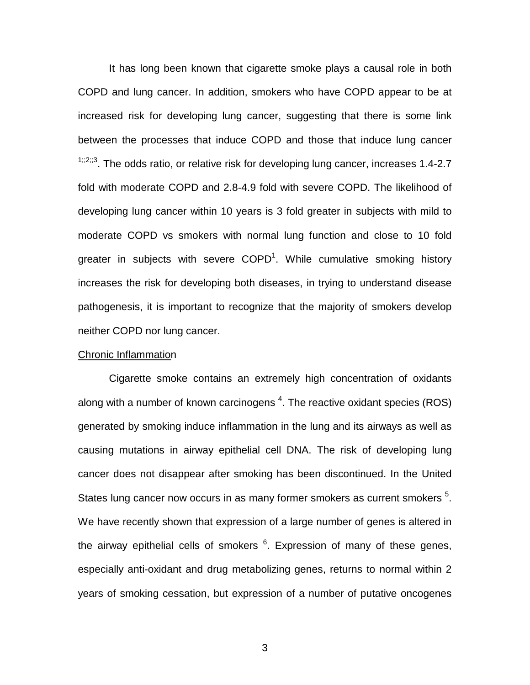It has long been known that cigarette smoke plays a causal role in both COPD and lung cancer. In addition, smokers who have COPD appear to be at increased risk for developing lung cancer, suggesting that there is some link between the processes that induce COPD and those that induce lung cancer  $1,2,3$ . The odds ratio, or relative risk for developing lung cancer, increases 1.4-2.7 fold with moderate COPD and 2.8-4.9 fold with severe COPD. The likelihood of developing lung cancer within 10 years is 3 fold greater in subjects with mild to moderate COPD vs smokers with normal lung function and close to 10 fold greater in subjects with severe  $\text{COPD}^1$ . While cumulative smoking history increases the risk for developing both diseases, in trying to understand disease pathogenesis, it is important to recognize that the majority of smokers develop neither COPD nor lung cancer.

### Chronic Inflammation

Cigarette smoke contains an extremely high concentration of oxidants along with a number of known carcinogens  $4$ . The reactive oxidant species (ROS) generated by smoking induce inflammation in the lung and its airways as well as causing mutations in airway epithelial cell DNA. The risk of developing lung cancer does not disappear after smoking has been discontinued. In the United States lung cancer now occurs in as many former smokers as current smokers <sup>5</sup>. We have recently shown that expression of a large number of genes is altered in the airway epithelial cells of smokers <sup>6</sup>. Expression of many of these genes, especially anti-oxidant and drug metabolizing genes, returns to normal within 2 years of smoking cessation, but expression of a number of putative oncogenes

 $\sim$  3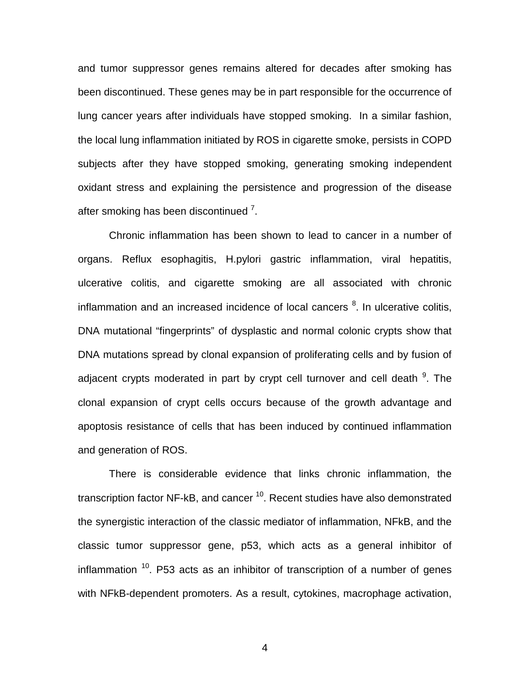and tumor suppressor genes remains altered for decades after smoking has been discontinued. These genes may be in part responsible for the occurrence of lung cancer years after individuals have stopped smoking. In a similar fashion, the local lung inflammation initiated by ROS in cigarette smoke, persists in COPD subjects after they have stopped smoking, generating smoking independent oxidant stress and explaining the persistence and progression of the disease after smoking has been discontinued  $7$ .

Chronic inflammation has been shown to lead to cancer in a number of organs. Reflux esophagitis, H.pylori gastric inflammation, viral hepatitis, ulcerative colitis, and cigarette smoking are all associated with chronic inflammation and an increased incidence of local cancers  ${}^{8}$ . In ulcerative colitis, DNA mutational "fingerprints" of dysplastic and normal colonic crypts show that DNA mutations spread by clonal expansion of proliferating cells and by fusion of adjacent crypts moderated in part by crypt cell turnover and cell death <sup>9</sup>. The clonal expansion of crypt cells occurs because of the growth advantage and apoptosis resistance of cells that has been induced by continued inflammation and generation of ROS.

There is considerable evidence that links chronic inflammation, the transcription factor NF-kB, and cancer<sup>10</sup>. Recent studies have also demonstrated the synergistic interaction of the classic mediator of inflammation, NFkB, and the classic tumor suppressor gene, p53, which acts as a general inhibitor of inflammation  $10$ . P53 acts as an inhibitor of transcription of a number of genes with NFkB-dependent promoters. As a result, cytokines, macrophage activation,

4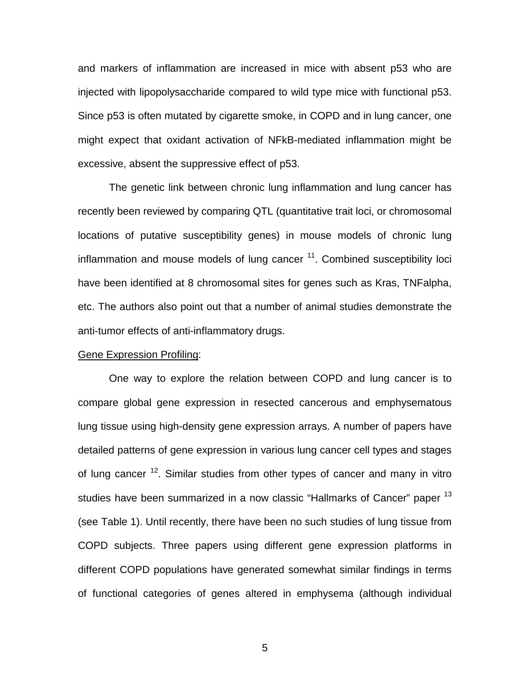and markers of inflammation are increased in mice with absent p53 who are injected with lipopolysaccharide compared to wild type mice with functional p53. Since p53 is often mutated by cigarette smoke, in COPD and in lung cancer, one might expect that oxidant activation of NFkB-mediated inflammation might be excessive, absent the suppressive effect of p53.

The genetic link between chronic lung inflammation and lung cancer has recently been reviewed by comparing QTL (quantitative trait loci, or chromosomal locations of putative susceptibility genes) in mouse models of chronic lung inflammation and mouse models of lung cancer  $11$ . Combined susceptibility loci have been identified at 8 chromosomal sites for genes such as Kras, TNFalpha, etc. The authors also point out that a number of animal studies demonstrate the anti-tumor effects of anti-inflammatory drugs.

#### Gene Expression Profiling:

One way to explore the relation between COPD and lung cancer is to compare global gene expression in resected cancerous and emphysematous lung tissue using high-density gene expression arrays. A number of papers have detailed patterns of gene expression in various lung cancer cell types and stages of lung cancer <sup>12</sup>. Similar studies from other types of cancer and many in vitro studies have been summarized in a now classic "Hallmarks of Cancer" paper <sup>13</sup> (see Table 1). Until recently, there have been no such studies of lung tissue from COPD subjects. Three papers using different gene expression platforms in different COPD populations have generated somewhat similar findings in terms of functional categories of genes altered in emphysema (although individual

 $5<sup>th</sup>$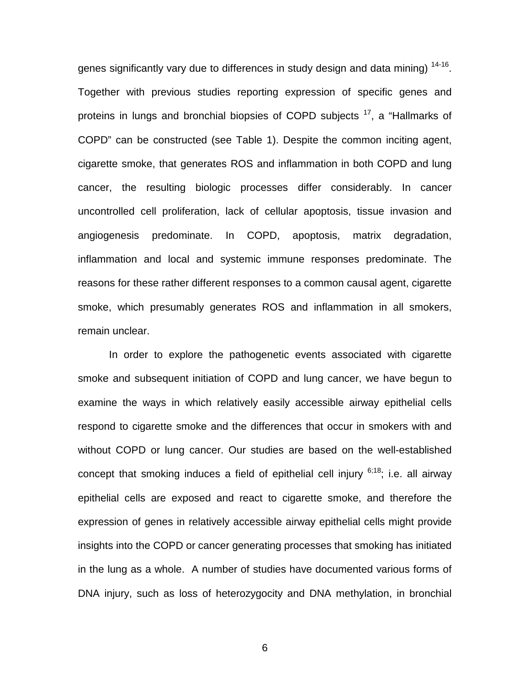genes significantly vary due to differences in study design and data mining)  $14-16$ . Together with previous studies reporting expression of specific genes and proteins in lungs and bronchial biopsies of COPD subjects <sup>17</sup>, a "Hallmarks of COPD" can be constructed (see Table 1). Despite the common inciting agent, cigarette smoke, that generates ROS and inflammation in both COPD and lung cancer, the resulting biologic processes differ considerably. In cancer uncontrolled cell proliferation, lack of cellular apoptosis, tissue invasion and angiogenesis predominate. In COPD, apoptosis, matrix degradation, inflammation and local and systemic immune responses predominate. The reasons for these rather different responses to a common causal agent, cigarette smoke, which presumably generates ROS and inflammation in all smokers, remain unclear.

In order to explore the pathogenetic events associated with cigarette smoke and subsequent initiation of COPD and lung cancer, we have begun to examine the ways in which relatively easily accessible airway epithelial cells respond to cigarette smoke and the differences that occur in smokers with and without COPD or lung cancer. Our studies are based on the well-established concept that smoking induces a field of epithelial cell injury  $6,18$ ; i.e. all airway epithelial cells are exposed and react to cigarette smoke, and therefore the expression of genes in relatively accessible airway epithelial cells might provide insights into the COPD or cancer generating processes that smoking has initiated in the lung as a whole. A number of studies have documented various forms of DNA injury, such as loss of heterozygocity and DNA methylation, in bronchial

 $\sim$  600  $\sim$  600  $\sim$  600  $\sim$  600  $\sim$  600  $\sim$  600  $\sim$  600  $\sim$  600  $\sim$  600  $\sim$  600  $\sim$  600  $\sim$  600  $\sim$  600  $\sim$  600  $\sim$  600  $\sim$  600  $\sim$  600  $\sim$  600  $\sim$  600  $\sim$  600  $\sim$  600  $\sim$  600  $\sim$  600  $\sim$  600  $\sim$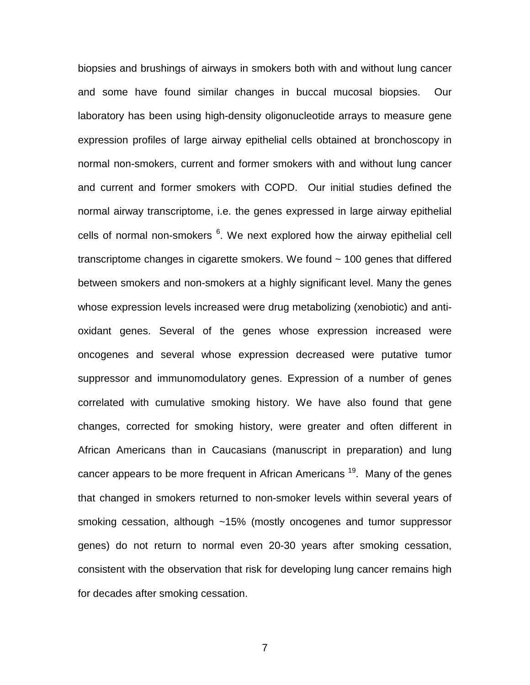biopsies and brushings of airways in smokers both with and without lung cancer and some have found similar changes in buccal mucosal biopsies. Our laboratory has been using high-density oligonucleotide arrays to measure gene expression profiles of large airway epithelial cells obtained at bronchoscopy in normal non-smokers, current and former smokers with and without lung cancer and current and former smokers with COPD. Our initial studies defined the normal airway transcriptome, i.e. the genes expressed in large airway epithelial cells of normal non-smokers <sup>6</sup>. We next explored how the airway epithelial cell transcriptome changes in cigarette smokers. We found ~ 100 genes that differed between smokers and non-smokers at a highly significant level. Many the genes whose expression levels increased were drug metabolizing (xenobiotic) and antioxidant genes. Several of the genes whose expression increased were oncogenes and several whose expression decreased were putative tumor suppressor and immunomodulatory genes. Expression of a number of genes correlated with cumulative smoking history. We have also found that gene changes, corrected for smoking history, were greater and often different in African Americans than in Caucasians (manuscript in preparation) and lung cancer appears to be more frequent in African Americans<sup>19</sup>. Many of the genes that changed in smokers returned to non-smoker levels within several years of smoking cessation, although ~15% (mostly oncogenes and tumor suppressor genes) do not return to normal even 20-30 years after smoking cessation, consistent with the observation that risk for developing lung cancer remains high for decades after smoking cessation.

7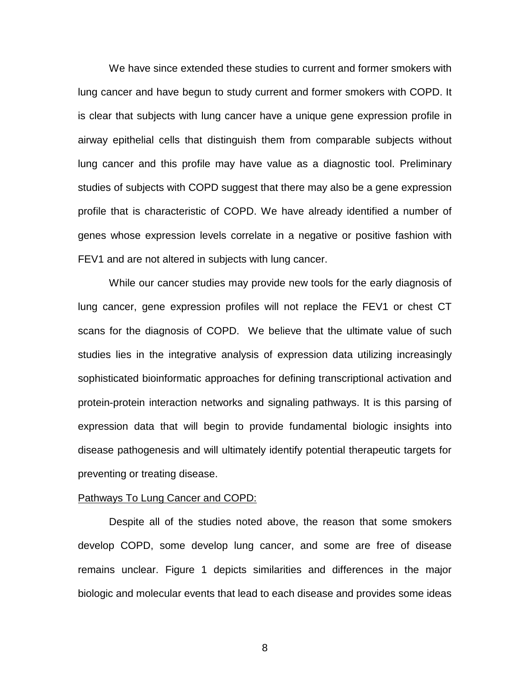We have since extended these studies to current and former smokers with lung cancer and have begun to study current and former smokers with COPD. It is clear that subjects with lung cancer have a unique gene expression profile in airway epithelial cells that distinguish them from comparable subjects without lung cancer and this profile may have value as a diagnostic tool. Preliminary studies of subjects with COPD suggest that there may also be a gene expression profile that is characteristic of COPD. We have already identified a number of genes whose expression levels correlate in a negative or positive fashion with FEV1 and are not altered in subjects with lung cancer.

While our cancer studies may provide new tools for the early diagnosis of lung cancer, gene expression profiles will not replace the FEV1 or chest CT scans for the diagnosis of COPD. We believe that the ultimate value of such studies lies in the integrative analysis of expression data utilizing increasingly sophisticated bioinformatic approaches for defining transcriptional activation and protein-protein interaction networks and signaling pathways. It is this parsing of expression data that will begin to provide fundamental biologic insights into disease pathogenesis and will ultimately identify potential therapeutic targets for preventing or treating disease.

#### Pathways To Lung Cancer and COPD:

Despite all of the studies noted above, the reason that some smokers develop COPD, some develop lung cancer, and some are free of disease remains unclear. Figure 1 depicts similarities and differences in the major biologic and molecular events that lead to each disease and provides some ideas

en andere andere andere andere andere andere andere andere andere andere andere andere andere andere andere a<br>En de andere andere andere andere andere andere andere andere andere andere andere andere andere andere andere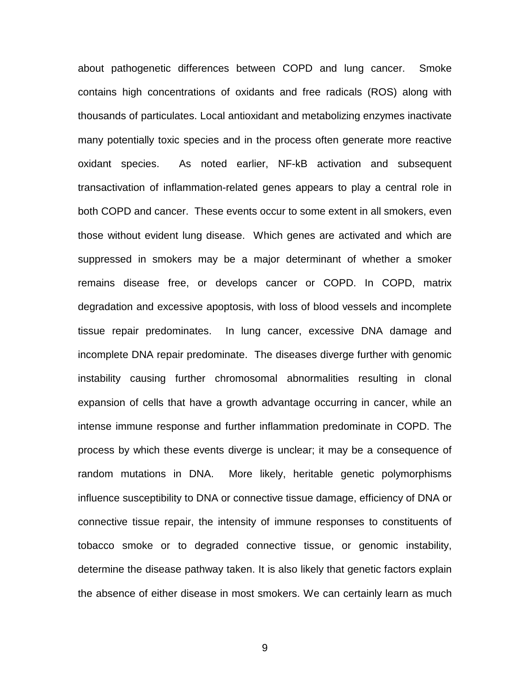about pathogenetic differences between COPD and lung cancer. Smoke contains high concentrations of oxidants and free radicals (ROS) along with thousands of particulates. Local antioxidant and metabolizing enzymes inactivate many potentially toxic species and in the process often generate more reactive oxidant species. As noted earlier, NF-kB activation and subsequent transactivation of inflammation-related genes appears to play a central role in both COPD and cancer. These events occur to some extent in all smokers, even those without evident lung disease. Which genes are activated and which are suppressed in smokers may be a major determinant of whether a smoker remains disease free, or develops cancer or COPD. In COPD, matrix degradation and excessive apoptosis, with loss of blood vessels and incomplete tissue repair predominates. In lung cancer, excessive DNA damage and incomplete DNA repair predominate. The diseases diverge further with genomic instability causing further chromosomal abnormalities resulting in clonal expansion of cells that have a growth advantage occurring in cancer, while an intense immune response and further inflammation predominate in COPD. The process by which these events diverge is unclear; it may be a consequence of random mutations in DNA. More likely, heritable genetic polymorphisms influence susceptibility to DNA or connective tissue damage, efficiency of DNA or connective tissue repair, the intensity of immune responses to constituents of tobacco smoke or to degraded connective tissue, or genomic instability, determine the disease pathway taken. It is also likely that genetic factors explain the absence of either disease in most smokers. We can certainly learn as much

9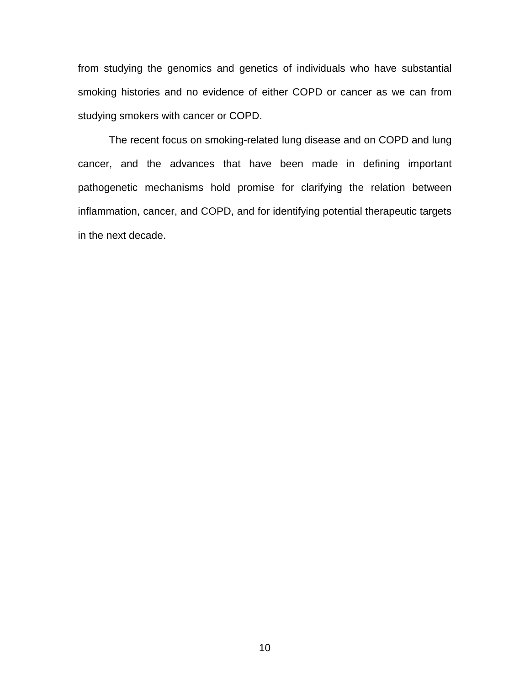from studying the genomics and genetics of individuals who have substantial smoking histories and no evidence of either COPD or cancer as we can from studying smokers with cancer or COPD.

The recent focus on smoking-related lung disease and on COPD and lung cancer, and the advances that have been made in defining important pathogenetic mechanisms hold promise for clarifying the relation between inflammation, cancer, and COPD, and for identifying potential therapeutic targets in the next decade.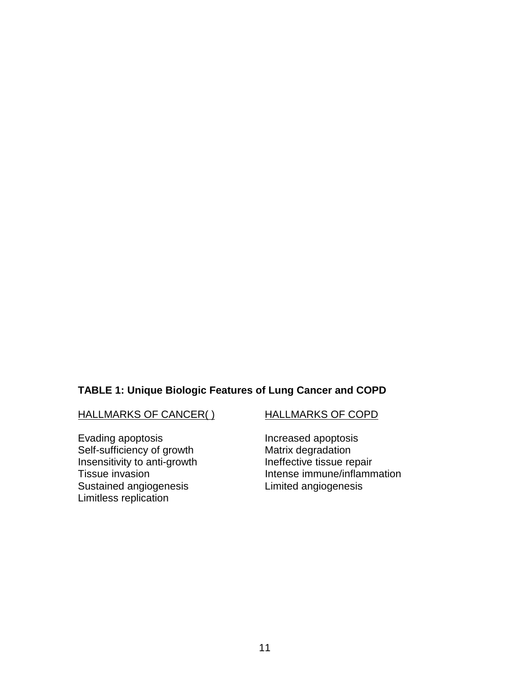## **TABLE 1: Unique Biologic Features of Lung Cancer and COPD**

HALLMARKS OF CANCER( ) HALLMARKS OF COPD

Evading apoptosis<br>
Self-sufficiency of growth Matrix degradation Self-sufficiency of growth Matrix degradation<br>
Insensitivity to anti-growth Ineffective tissue repair Insensitivity to anti-growth Sustained angiogenesis Limitless replication

Tissue invasion<br>
Sustained angiogenesis<br>
Limited angiogenesis<br>
Limited angiogenesis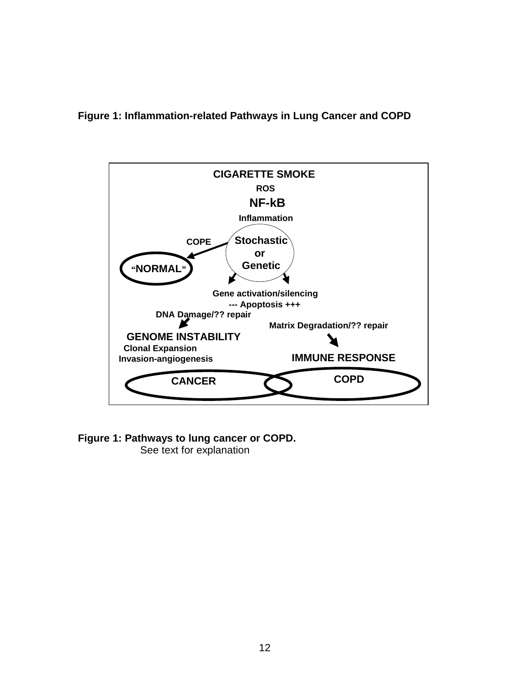**Figure 1: Inflammation-related Pathways in Lung Cancer and COPD** 



**Figure 1: Pathways to lung cancer or COPD.**

See text for explanation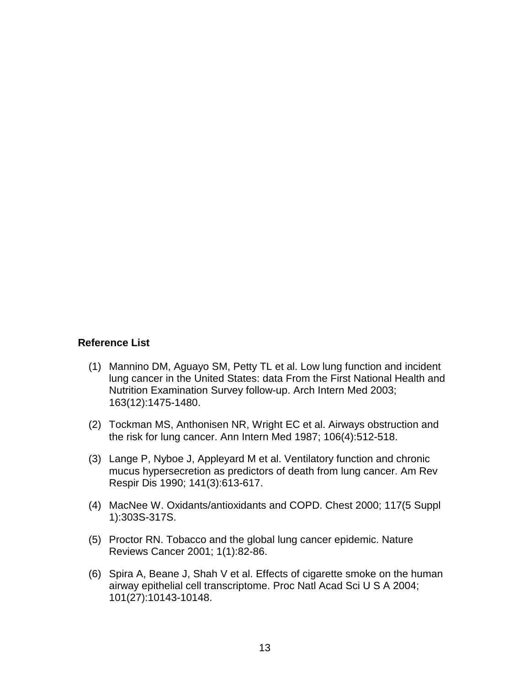## **Reference List**

- (1) Mannino DM, Aguayo SM, Petty TL et al. Low lung function and incident lung cancer in the United States: data From the First National Health and Nutrition Examination Survey follow-up. Arch Intern Med 2003; 163(12):1475-1480.
- (2) Tockman MS, Anthonisen NR, Wright EC et al. Airways obstruction and the risk for lung cancer. Ann Intern Med 1987; 106(4):512-518.
- (3) Lange P, Nyboe J, Appleyard M et al. Ventilatory function and chronic mucus hypersecretion as predictors of death from lung cancer. Am Rev Respir Dis 1990; 141(3):613-617.
- (4) MacNee W. Oxidants/antioxidants and COPD. Chest 2000; 117(5 Suppl 1):303S-317S.
- (5) Proctor RN. Tobacco and the global lung cancer epidemic. Nature Reviews Cancer 2001; 1(1):82-86.
- (6) Spira A, Beane J, Shah V et al. Effects of cigarette smoke on the human airway epithelial cell transcriptome. Proc Natl Acad Sci U S A 2004; 101(27):10143-10148.